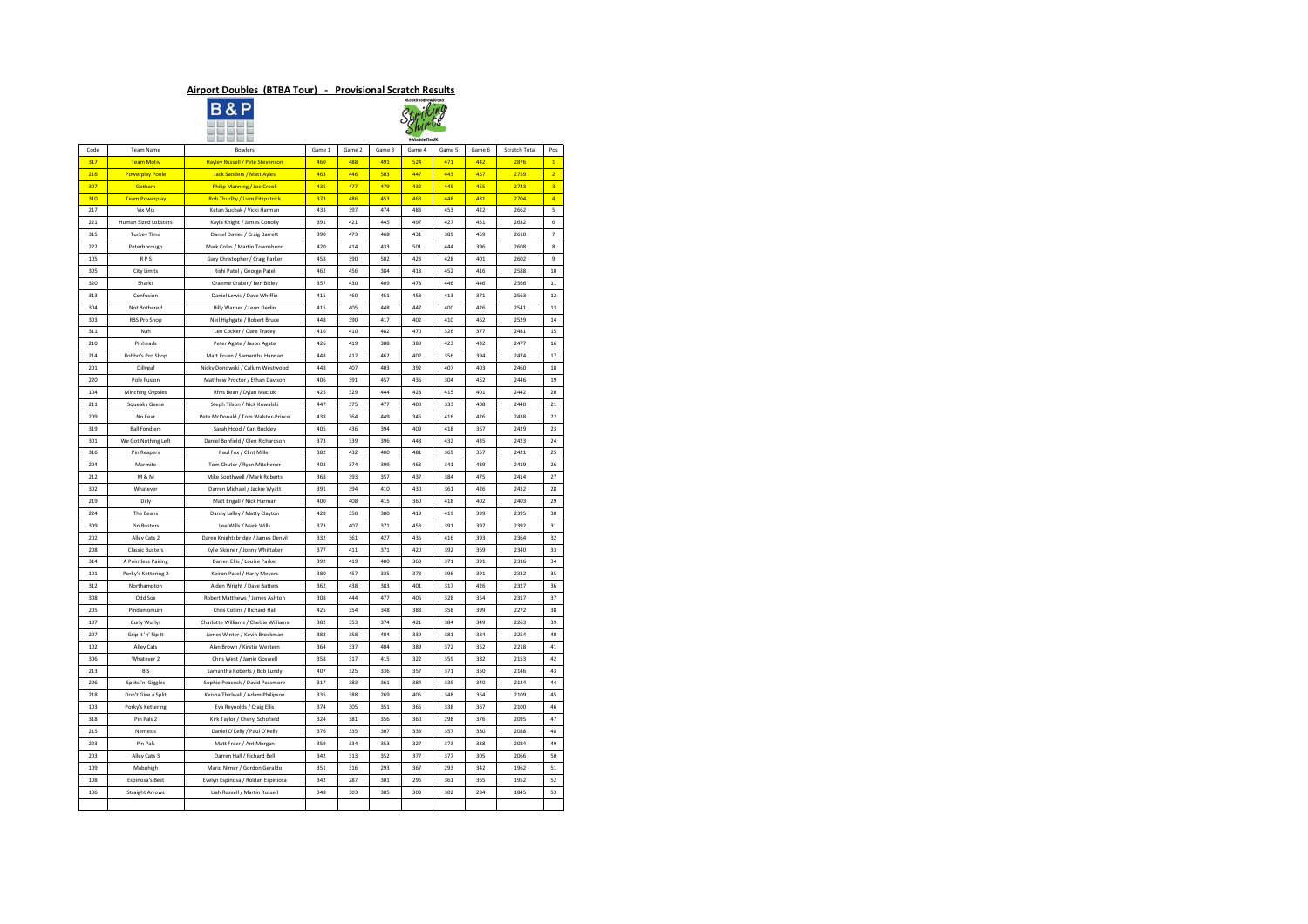## **Airport Doubles (BTBA Tour) - Provisional Scratch Results**



|      |                             |                                        |        |        |        | #rooka00000MIA000<br>#MadeInTheUK |        |        |                      |                         |
|------|-----------------------------|----------------------------------------|--------|--------|--------|-----------------------------------|--------|--------|----------------------|-------------------------|
| Code | Team Name                   | <b>Bowlers</b>                         | Game 1 | Game 2 | Game 3 | Game 4                            | Game 5 | Game 6 | <b>Scratch Total</b> | Pos                     |
| 317  | <b>Team Motiv</b>           | <b>Hayley Russell / Pete Stevenson</b> | 460    | 488    | 491    | 524                               | 471    | 442    | 2876                 | $\mathbf{1}$            |
| 216  | <b>Powerplay Poole</b>      | <b>Jack Sanders / Matt Ayles</b>       | 463    | 446    | 503    | 447                               | 443    | 457    | 2759                 | 2 <sup>1</sup>          |
| 307  | <b>Gotham</b>               | <b>Philip Manning / Joe Crook</b>      | 435    | 477    | 479    | 432                               | 445    | 455    | 2723                 | $\overline{\mathbf{3}}$ |
| 310  | <b>Team Powerplay</b>       | Rob Thurlby / Liam Fitzpatrick         | 373    | 486    | 453    | 463                               | 448    | 481    | 2704                 | $\vert 4 \vert$         |
| 217  | Vix Mix                     | Ketan Suchak / Vicki Harman            | 433    | 397    | 474    | 483                               | 453    | 422    | 2662                 | 5                       |
| 221  | <b>Human Sized Lobsters</b> | Kayla Knight / James Conolly           | 391    | 421    | 445    | 497                               | 427    | 451    | 2632                 | 6                       |
| 315  | <b>Turkey Time</b>          | Daniel Davies / Craig Barrett          | 390    | 473    | 468    | 431                               | 389    | 459    | 2610                 | $\overline{7}$          |
| 222  | Peterborough                | Mark Coles / Martin Townshend          | 420    | 414    | 433    | 501                               | 444    | 396    | 2608                 | 8                       |
| 105  | <b>RPS</b>                  | Gary Christopher / Craig Parker        | 458    | 390    | 502    | 423                               | 428    | 401    | 2602                 | 9                       |
| 305  | <b>City Limits</b>          | Rishi Patel / George Patel             | 462    | 456    | 384    | 418                               | 452    | 416    | 2588                 | 10                      |
| 320  | Sharks                      | Graeme Craker / Ben Bizley             | 357    | 430    | 409    | 478                               | 446    | 446    | 2566                 | 11                      |
|      |                             |                                        |        |        |        |                                   |        |        |                      |                         |
| 313  | Confusion                   | Daniel Lewis / Dave Whiffin            | 415    | 460    | 451    | 453                               | 413    | 371    | 2563                 | 12                      |
| 304  | Not Bothered                | Billy Warnes / Leon Devlin             | 415    | 405    | 448    | 447                               | 400    | 426    | 2541                 | 13                      |
| 303  | RBS Pro Shop                | Neil Highgate / Robert Bruce           | 448    | 390    | 417    | 402                               | 410    | 462    | 2529                 | 14                      |
| 311  | Nah                         | Lee Cocker / Clare Tracey              | 416    | 410    | 482    | 470                               | 326    | 377    | 2481                 | 15                      |
| 210  | Pinheads                    | Peter Agate / Jason Agate              | 426    | 419    | 388    | 389                               | 423    | 432    | 2477                 | 16                      |
| 214  | Robbo's Pro Shop            | Matt Fruen / Samantha Hannan           | 448    | 412    | 462    | 402                               | 356    | 394    | 2474                 | 17                      |
| 201  | Dillygaf                    | Nicky Donowski / Callum Westwood       | 448    | 407    | 403    | 392                               | 407    | 403    | 2460                 | 18                      |
| 220  | Pole Fusion                 | Matthew Proctor / Ethan Davison        | 406    | 391    | 457    | 436                               | 304    | 452    | 2446                 | 19                      |
| 104  | <b>Minching Gypsies</b>     | Rhys Bean / Dylan Maciuk               | 425    | 329    | 444    | 428                               | 415    | 401    | 2442                 | 20                      |
| 211  | <b>Squeaky Geese</b>        | Steph Tilson / Nick Kowalski           | 447    | 375    | 477    | 400                               | 333    | 408    | 2440                 | 21                      |
| 209  | No Fear                     | Pete McDonald / Tom Walster-Prince     | 438    | 364    | 449    | 345                               | 416    | 426    | 2438                 | 22                      |
| 319  | <b>Ball Fondlers</b>        | Sarah Hood / Carl Buckley              | 405    | 436    | 394    | 409                               | 418    | 367    | 2429                 | 23                      |
| 301  | We Got Nothing Left         | Daniel Bonfield / Glen Richardson      | 373    | 339    | 396    | 448                               | 432    | 435    | 2423                 | 24                      |
| 316  | Pin Reapers                 | Paul Fox / Clint Miller                | 382    | 432    | 400    | 481                               | 369    | 357    | 2421                 | 25                      |
| 204  | Marmite                     | Tom Chuter / Ryan Mitchener            | 403    | 374    | 399    | 463                               | 341    | 439    | 2419                 | 26                      |
| 212  | M & M                       | Mike Southwell / Mark Roberts          | 368    | 393    | 357    | 437                               | 384    | 475    | 2414                 | 27                      |
| 302  | Whatever                    | Darren Michael / Jackie Wyatt          | 391    | 394    | 410    | 430                               | 361    | 426    | 2412                 | 28                      |
| 219  | Dilly                       | Matt Engall / Nick Harman              | 400    | 408    | 415    | 360                               | 418    | 402    | 2403                 | 29                      |
| 224  | The Beans                   | Danny Lalley / Matty Clayton           | 428    | 350    | 380    | 419                               | 419    | 399    | 2395                 | 30                      |
| 309  | Pin Busters                 | Lee Wills / Mark Wills                 | 373    | 407    | 371    | 453                               | 391    | 397    | 2392                 | 31                      |
| 202  | Alley Cats 2                | Daren Knightsbridge / James Denvil     | 332    | 361    | 427    | 435                               | 416    | 393    | 2364                 | 32                      |
| 208  | <b>Classic Busters</b>      | Kylie Skinner / Jonny Whittaker        | 377    | 411    | 371    | 420                               | 392    | 369    | 2340                 | 33                      |
| 314  | A Pointless Pairing         | Darren Ellis / Louise Parker           | 392    | 419    | 400    | 363                               | 371    | 391    | 2336                 | 34                      |
| 101  | Porky's Kettering 2         | Keiron Patel / Harry Meyers            | 380    | 457    | 335    | 373                               | 396    | 391    | 2332                 | 35                      |
| 312  | Northampton                 | Aiden Wright / Dave Batters            | 362    | 438    | 383    | 401                               | 317    | 426    | 2327                 | 36                      |
| 308  | Odd Sox                     | Robert Matthews / James Ashton         | 308    | 444    | 477    | 406                               | 328    | 354    | 2317                 | 37                      |
| 205  | Pindamonium                 | Chris Collins / Richard Hall           | 425    | 354    | 348    | 388                               | 358    | 399    | 2272                 | 38                      |
| 107  | Curly Wurlys                | Charlotte Williams / Chelsie Williams  | 382    | 353    | 374    | 421                               | 384    | 349    | 2263                 | 39                      |
|      |                             |                                        |        |        |        |                                   |        |        |                      |                         |
| 207  | Grip it 'n' Rip It          | James Winter / Kevin Brockman          | 388    | 358    | 404    | 339                               | 381    | 384    | 2254                 | 40                      |
| 102  | Alley Cats                  | Alan Brown / Kirstie Western           | 364    | 337    | 404    | 389                               | 372    | 352    | 2218                 | 41                      |
| 306  | Whatever 2                  | Chris West / Jamie Goswell             | 358    | 317    | 415    | 322                               | 359    | 382    | 2153                 | 42                      |
| 213  | B <sub>S</sub>              | Samantha Roberts / Bob Lundy           | 407    | 325    | 336    | 357                               | 371    | 350    | 2146                 | 43                      |
| 206  | Splits 'n' Giggles          | Sophie Peacock / David Passmore        | 317    | 383    | 361    | 384                               | 339    | 340    | 2124                 | 44                      |
| 218  | Don't Give a Split          | Keisha Thirlwall / Adam Philipson      | 335    | 388    | 269    | 405                               | 348    | 364    | 2109                 | 45                      |
| 103  | Porky's Kettering           | Eva Reynolds / Craig Ellis             | 374    | 305    | 351    | 365                               | 338    | 367    | 2100                 | 46                      |
| 318  | Pin Pals 2                  | Kirk Taylor / Cheryl Schofield         | 324    | 381    | 356    | 360                               | 298    | 376    | 2095                 | 47                      |
| 215  | Nemesis                     | Daniel O'Kelly / Paul O'Kelly          | 376    | 335    | 307    | 333                               | 357    | 380    | 2088                 | 48                      |
| 223  | Pin Pals                    | Matt Freer / Ant Morgan                | 359    | 334    | 353    | 327                               | 373    | 338    | 2084                 | 49                      |
| 203  | Alley Cats 3                | Darren Hall / Richard Bell             | 342    | 313    | 352    | 377                               | 377    | 305    | 2066                 | 50                      |
| 109  | Mabuhigh                    | Mario Nimer / Gordon Geraldo           | 351    | 316    | 293    | 367                               | 293    | 342    | 1962                 | 51                      |
| 108  | Espinosa's Best             | Evelyn Espinosa / Roldan Espiniosa     | 342    | 287    | 301    | 296                               | 361    | 365    | 1952                 | 52                      |
| 106  | <b>Straight Arrows</b>      | Liah Russell / Martin Russell          | 348    | 303    | 305    | 303                               | 302    | 284    | 1845                 | 53                      |
|      |                             |                                        |        |        |        |                                   |        |        |                      |                         |

| 212 | M & M                  | Mike Southwell / Mark Roberts         | 368 | 393 | 357 | 437 | 384 | 47             |
|-----|------------------------|---------------------------------------|-----|-----|-----|-----|-----|----------------|
| 302 | Whatever               | Darren Michael / Jackie Wyatt         | 391 | 394 | 410 | 430 | 361 | $\overline{4}$ |
| 219 | <b>Dilly</b>           | Matt Engall / Nick Harman             | 400 | 408 | 415 | 360 | 418 | 4(             |
| 224 | The Beans              | Danny Lalley / Matty Clayton          | 428 | 350 | 380 | 419 | 419 | 39             |
| 309 | Pin Busters            | Lee Wills / Mark Wills                | 373 | 407 | 371 | 453 | 391 | 39             |
| 202 | Alley Cats 2           | Daren Knightsbridge / James Denvil    | 332 | 361 | 427 | 435 | 416 | 39             |
| 208 | <b>Classic Busters</b> | Kylie Skinner / Jonny Whittaker       | 377 | 411 | 371 | 420 | 392 | 36             |
| 314 | A Pointless Pairing    | Darren Ellis / Louise Parker          | 392 | 419 | 400 | 363 | 371 | 39             |
| 101 | Porky's Kettering 2    | Keiron Patel / Harry Meyers           | 380 | 457 | 335 | 373 | 396 | 39             |
| 312 | Northampton            | Aiden Wright / Dave Batters           | 362 | 438 | 383 | 401 | 317 | $\overline{4}$ |
| 308 | Odd Sox                | Robert Matthews / James Ashton        | 308 | 444 | 477 | 406 | 328 | 35             |
| 205 | Pindamonium            | Chris Collins / Richard Hall          | 425 | 354 | 348 | 388 | 358 | 39             |
| 107 | Curly Wurlys           | Charlotte Williams / Chelsie Williams | 382 | 353 | 374 | 421 | 384 | 3 <sub>4</sub> |
| 207 | Grip it 'n' Rip It     | James Winter / Kevin Brockman         | 388 | 358 | 404 | 339 | 381 | 38             |
| 102 | <b>Alley Cats</b>      | Alan Brown / Kirstie Western          | 364 | 337 | 404 | 389 | 372 | 3!             |
| 306 | Whatever 2             | Chris West / Jamie Goswell            | 358 | 317 | 415 | 322 | 359 | 38             |
| 213 | BS                     | Samantha Roberts / Bob Lundy          | 407 | 325 | 336 | 357 | 371 | 3 <sub>5</sub> |
| 206 | Splits 'n' Giggles     | Sophie Peacock / David Passmore       | 317 | 383 | 361 | 384 | 339 | 3 <sup>2</sup> |
| 218 | Don't Give a Split     | Keisha Thirlwall / Adam Philipson     | 335 | 388 | 269 | 405 | 348 | 36             |
| 103 | Porky's Kettering      | Eva Reynolds / Craig Ellis            | 374 | 305 | 351 | 365 | 338 | 36             |
| 318 | Pin Pals 2             | Kirk Taylor / Cheryl Schofield        | 324 | 381 | 356 | 360 | 298 | 3 <sub>l</sub> |
| 215 | Nemesis                | Daniel O'Kelly / Paul O'Kelly         | 376 | 335 | 307 | 333 | 357 | 38             |
| 223 | Pin Pals               | Matt Freer / Ant Morgan               | 359 | 334 | 353 | 327 | 373 | 3 <sup>2</sup> |
| 203 | Alley Cats 3           | Darren Hall / Richard Bell            | 342 | 313 | 352 | 377 | 377 | 3 <sup>0</sup> |
| 109 | Mabuhigh               | Mario Nimer / Gordon Geraldo          | 351 | 316 | 293 | 367 | 293 | 34             |
| 108 | Espinosa's Best        | Evelyn Espinosa / Roldan Espiniosa    | 342 | 287 | 301 | 296 | 361 | 36             |
| 106 | <b>Straight Arrows</b> | Liah Russell / Martin Russell         | 348 | 303 | 305 | 303 | 302 | 28             |
|     |                        |                                       |     |     |     |     |     |                |
|     |                        |                                       |     |     |     |     |     |                |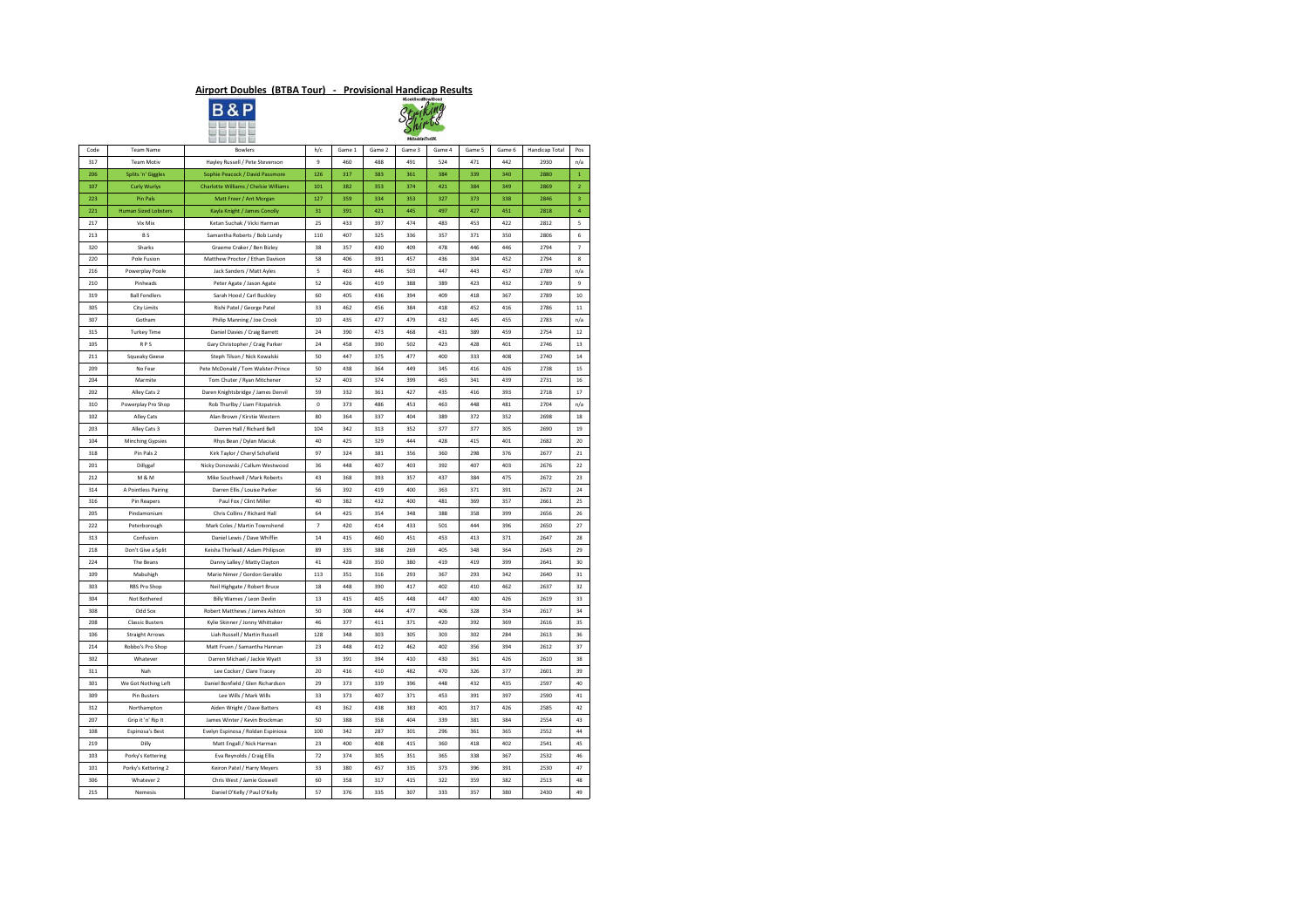|      |                             | and the company and                   |                |        |        | <b>#MadeInTheVK</b> |        |        |        |                |                |
|------|-----------------------------|---------------------------------------|----------------|--------|--------|---------------------|--------|--------|--------|----------------|----------------|
| Code | <b>Team Name</b>            | <b>Bowlers</b>                        | h/c            | Game 1 | Game 2 | Game 3              | Game 4 | Game 5 | Game 6 | Handicap Total | Pos            |
| 317  | <b>Team Motiv</b>           | Hayley Russell / Pete Stevenson       | 9              | 460    | 488    | 491                 | 524    | 471    | 442    | 2930           | n/a            |
| 206  | Splits 'n' Giggles          | Sophie Peacock / David Passmore       | 126            | 317    | 383    | 361                 | 384    | 339    | 340    | 2880           | $\mathbf{1}$   |
| 107  | <b>Curly Wurlys</b>         | Charlotte Williams / Chelsie Williams | 101            | 382    | 353    | 374                 | 421    | 384    | 349    | 2869           | $\overline{2}$ |
| 223  | Pin Pals                    | Matt Freer / Ant Morgan               | 127            | 359    | 334    | 353                 | 327    | 373    | 338    | 2846           | $\overline{3}$ |
| 221  | <b>Human Sized Lobsters</b> | Kayla Knight / James Conolly          | 31             | 391    | 421    | 445                 | 497    | 427    | 451    | 2818           | $\overline{4}$ |
| 217  | Vix Mix                     | Ketan Suchak / Vicki Harman           | 25             | 433    | 397    | 474                 | 483    | 453    | 422    | 2812           | 5              |
| 213  | <b>BS</b>                   | Samantha Roberts / Bob Lundy          | 110            | 407    | 325    | 336                 | 357    | 371    | 350    | 2806           | 6              |
| 320  | <b>Sharks</b>               | Graeme Craker / Ben Bizley            | 38             | 357    | 430    | 409                 | 478    | 446    | 446    | 2794           | $7^{\circ}$    |
| 220  | Pole Fusion                 | Matthew Proctor / Ethan Davison       | 58             | 406    | 391    | 457                 | 436    | 304    | 452    | 2794           | 8              |
| 216  | Powerplay Poole             | Jack Sanders / Matt Ayles             | 5              | 463    | 446    | 503                 | 447    | 443    | 457    | 2789           | n/a            |
| 210  | Pinheads                    | Peter Agate / Jason Agate             | 52             | 426    | 419    | 388                 | 389    | 423    | 432    | 2789           | 9              |
| 319  | <b>Ball Fondlers</b>        | Sarah Hood / Carl Buckley             | 60             | 405    | 436    | 394                 | 409    | 418    | 367    | 2789           | 10             |
| 305  | <b>City Limits</b>          | Rishi Patel / George Patel            | 33             | 462    | 456    | 384                 | 418    | 452    | 416    | 2786           | 11             |
| 307  | Gotham                      | Philip Manning / Joe Crook            | 10             | 435    | 477    | 479                 | 432    | 445    | 455    | 2783           | n/a            |
| 315  | <b>Turkey Time</b>          | Daniel Davies / Craig Barrett         | 24             | 390    | 473    | 468                 | 431    | 389    | 459    | 2754           | 12             |
| 105  | <b>RPS</b>                  | Gary Christopher / Craig Parker       | 24             | 458    | 390    | 502                 | 423    | 428    | 401    | 2746           | 13             |
| 211  | Squeaky Geese               | Steph Tilson / Nick Kowalski          | 50             | 447    | 375    | 477                 | 400    | 333    | 408    | 2740           | 14             |
| 209  | No Fear                     | Pete McDonald / Tom Walster-Prince    | 50             | 438    | 364    | 449                 | 345    | 416    | 426    | 2738           | 15             |
| 204  | Marmite                     | Tom Chuter / Ryan Mitchener           | 52             | 403    | 374    | 399                 | 463    | 341    | 439    | 2731           | 16             |
| 202  | Alley Cats 2                | Daren Knightsbridge / James Denvil    | 59             | 332    | 361    | 427                 | 435    | 416    | 393    | 2718           | 17             |
| 310  | Powerplay Pro Shop          | Rob Thurlby / Liam Fitzpatrick        | $\mathbf 0$    | 373    | 486    | 453                 | 463    | 448    | 481    | 2704           | n/a            |
| 102  | Alley Cats                  | Alan Brown / Kirstie Western          | 80             | 364    | 337    | 404                 | 389    | 372    | 352    | 2698           | 18             |
| 203  | Alley Cats 3                | Darren Hall / Richard Bell            | 104            | 342    | 313    | 352                 | 377    | 377    | 305    | 2690           | 19             |
| 104  | <b>Minching Gypsies</b>     | Rhys Bean / Dylan Maciuk              | 40             | 425    | 329    | 444                 | 428    | 415    | 401    | 2682           | 20             |
| 318  | Pin Pals 2                  | Kirk Taylor / Cheryl Schofield        | 97             | 324    | 381    | 356                 | 360    | 298    | 376    | 2677           | 21             |
| 201  | Dillygaf                    | Nicky Donowski / Callum Westwood      | 36             | 448    | 407    | 403                 | 392    | 407    | 403    | 2676           | 22             |
| 212  | M & M                       | Mike Southwell / Mark Roberts         | 43             | 368    | 393    | 357                 | 437    | 384    | 475    | 2672           | 23             |
| 314  | A Pointless Pairing         | Darren Ellis / Louise Parker          | 56             | 392    | 419    | 400                 | 363    | 371    | 391    | 2672           | 24             |
| 316  | Pin Reapers                 | Paul Fox / Clint Miller               | 40             | 382    | 432    | 400                 | 481    | 369    | 357    | 2661           | 25             |
| 205  | Pindamonium                 | Chris Collins / Richard Hall          | 64             | 425    | 354    | 348                 | 388    | 358    | 399    | 2656           | 26             |
| 222  | Peterborough                | Mark Coles / Martin Townshend         | $\overline{7}$ | 420    | 414    | 433                 | 501    | 444    | 396    | 2650           | 27             |
| 313  | Confusion                   | Daniel Lewis / Dave Whiffin           | 14             | 415    | 460    | 451                 | 453    | 413    | 371    | 2647           | 28             |
| 218  | Don't Give a Split          | Keisha Thirlwall / Adam Philipson     | 89             | 335    | 388    | 269                 | 405    | 348    | 364    | 2643           | 29             |
| 224  | The Beans                   | Danny Lalley / Matty Clayton          | 41             | 428    | 350    | 380                 | 419    | 419    | 399    | 2641           | 30             |
| 109  | Mabuhigh                    | Mario Nimer / Gordon Geraldo          | 113            | 351    | 316    | 293                 | 367    | 293    | 342    | 2640           | 31             |
| 303  | RBS Pro Shop                | Neil Highgate / Robert Bruce          | 18             | 448    | 390    | 417                 | 402    | 410    | 462    | 2637           | 32             |
| 304  | Not Bothered                | Billy Warnes / Leon Devlin            | 13             | 415    | 405    | 448                 | 447    | 400    | 426    | 2619           | 33             |
| 308  | Odd Sox                     | Robert Matthews / James Ashton        | 50             | 308    | 444    | 477                 | 406    | 328    | 354    | 2617           | 34             |
| 208  | <b>Classic Busters</b>      | Kylie Skinner / Jonny Whittaker       | 46             | 377    | 411    | 371                 | 420    | 392    | 369    | 2616           | 35             |
| 106  | <b>Straight Arrows</b>      | Liah Russell / Martin Russell         | 128            | 348    | 303    | 305                 | 303    | 302    | 284    | 2613           | 36             |
| 214  | Robbo's Pro Shop            | Matt Fruen / Samantha Hannan          | 23             | 448    | 412    | 462                 | 402    | 356    | 394    | 2612           | 37             |
| 302  | Whatever                    | Darren Michael / Jackie Wyatt         | 33             | 391    | 394    | 410                 | 430    | 361    | 426    | 2610           | 38             |
| 311  | Nah                         | Lee Cocker / Clare Tracey             | 20             | 416    | 410    | 482                 | 470    | 326    | 377    | 2601           | 39             |
| 301  | We Got Nothing Left         | Daniel Bonfield / Glen Richardson     | 29             | 373    | 339    | 396                 | 448    | 432    | 435    | 2597           | 40             |
| 309  | Pin Busters                 | Lee Wills / Mark Wills                | 33             | 373    | 407    | 371                 | 453    | 391    | 397    | 2590           | 41             |
| 312  | Northampton                 | Aiden Wright / Dave Batters           | 43             | 362    | 438    | 383                 | 401    | 317    | 426    | 2585           | 42             |
| 207  | Grip it 'n' Rip It          | James Winter / Kevin Brockman         | 50             | 388    | 358    | 404                 | 339    | 381    | 384    | 2554           | 43             |
| 108  | Espinosa's Best             | Evelyn Espinosa / Roldan Espiniosa    | 100            | 342    | 287    | 301                 | 296    | 361    | 365    | 2552           | 44             |
| 219  | Dilly                       | Matt Engall / Nick Harman             | 23             | 400    | 408    | 415                 | 360    | 418    | 402    | 2541           | 45             |
| 103  | Porky's Kettering           | Eva Reynolds / Craig Ellis            | 72             | 374    | 305    | 351                 | 365    | 338    | 367    | 2532           | 46             |
| 101  | Porky's Kettering 2         | Keiron Patel / Harry Meyers           | 33             | 380    | 457    | 335                 | 373    | 396    | 391    | 2530           | 47             |
| 306  | Whatever 2                  | Chris West / Jamie Goswell            | 60             | 358    | 317    | 415                 | 322    | 359    | 382    | 2513           | 48             |
| 215  | Nemesis                     | Daniel O'Kelly / Paul O'Kelly         | 57             | 376    | 335    | 307                 | 333    | 357    | 380    | 2430           | 49             |
|      |                             |                                       |                |        |        |                     |        |        |        |                |                |

#### **Airport Doubles (BTBA Tour) - Provisional Handicap Results**



| #LookGoodBowlGood |
|-------------------|
|                   |
|                   |
|                   |
| #MadeInTheUK      |
|                   |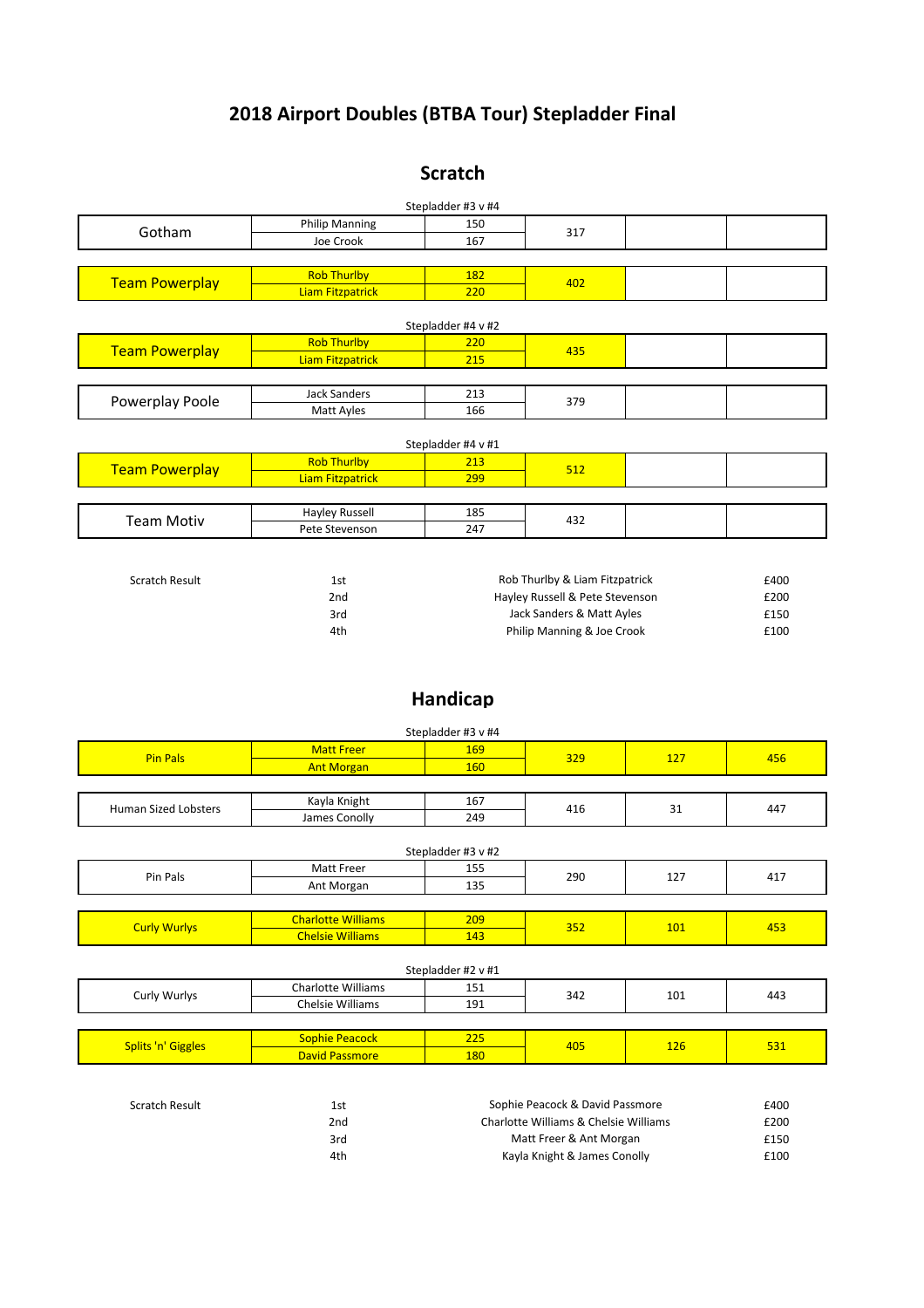| Scratch Result | 1st  | Sophie Peacock & David Passmore       | £400 |
|----------------|------|---------------------------------------|------|
|                | 2nd  | Charlotte Williams & Chelsie Williams | £200 |
|                | 3rd  | Matt Freer & Ant Morgan               | £150 |
|                | 4th. | Kayla Knight & James Conolly          | £100 |

|                        |                       | Stepladder #3 v #4 |                                 |      |
|------------------------|-----------------------|--------------------|---------------------------------|------|
| Gotham                 | <b>Philip Manning</b> | 150                | 317                             |      |
|                        | Joe Crook             | 167                |                                 |      |
|                        |                       |                    |                                 |      |
| <b>Team Powerplay</b>  | <b>Rob Thurlby</b>    | 182                | 402                             |      |
|                        | Liam Fitzpatrick      | 220                |                                 |      |
|                        |                       | Stepladder #4 v #2 |                                 |      |
|                        | <b>Rob Thurlby</b>    | 220                | 435                             |      |
| <b>Team Powerplay</b>  | Liam Fitzpatrick      | 215                |                                 |      |
|                        |                       |                    |                                 |      |
| <b>Powerplay Poole</b> | <b>Jack Sanders</b>   | 213                | 379                             |      |
|                        | <b>Matt Ayles</b>     | 166                |                                 |      |
|                        |                       | Stepladder #4 v #1 |                                 |      |
| <b>Team Powerplay</b>  | <b>Rob Thurlby</b>    | 213                | 512                             |      |
|                        | Liam Fitzpatrick      | 299                |                                 |      |
|                        |                       |                    |                                 |      |
| <b>Team Motiv</b>      | <b>Hayley Russell</b> | 185                | 432                             |      |
|                        | Pete Stevenson        | 247                |                                 |      |
|                        |                       |                    |                                 |      |
| <b>Scratch Result</b>  | 1st                   |                    | Rob Thurlby & Liam Fitzpatrick  | £400 |
|                        | 2nd                   |                    | Hayley Russell & Pete Stevenson | £200 |
|                        | 3rd                   |                    | Jack Sanders & Matt Ayles       | £150 |
|                        | 4th                   |                    | Philip Manning & Joe Crook      | £100 |

|                     |                           | Stepladder #3 v #2 |                                 |     |
|---------------------|---------------------------|--------------------|---------------------------------|-----|
| Pin Pals            | <b>Matt Freer</b>         | 155                | 290<br>127<br>352<br><b>101</b> | 417 |
|                     | Ant Morgan                | 135                |                                 |     |
|                     |                           |                    |                                 |     |
| <b>Curly Wurlys</b> | <b>Charlotte Williams</b> | 209                |                                 | 453 |
|                     | <b>Chelsie Williams</b>   | 143                |                                 |     |
|                     |                           |                    |                                 |     |

| --                           | Kayla<br>Knigh'    | ---<br>TP. |     | $\sim$ $\sim$ | . |     |
|------------------------------|--------------------|------------|-----|---------------|---|-----|
| Sized<br>l Lobsters<br>Human | , conolly<br>James | 24C<br>. . | т⊥∪ | $-1$          |   | 44, |

| Stepladder #3 v #4<br>169<br><b>Matt Freer</b><br>Pin Pals<br>329<br>456<br>ᅩᄼ<br><b>Ant Morgan</b><br>160 |  |  |  |  |  |
|------------------------------------------------------------------------------------------------------------|--|--|--|--|--|
|                                                                                                            |  |  |  |  |  |
|                                                                                                            |  |  |  |  |  |
|                                                                                                            |  |  |  |  |  |

|                              | <b>Sophie Peacock</b> | $\sim$ $-$ | $\sqrt{2}$        | $\sim$ $\sim$ | <b>FO</b> |
|------------------------------|-----------------------|------------|-------------------|---------------|-----------|
| Splits 'n'<br><b>Giggles</b> | <b>David Passmore</b> | 180        | <del>- 40 -</del> |               |           |

| .                                                                                               | Williams<br>- -<br>$\cap$ h $\cap$<br>''iOtte<br>.Hdl<br>∸J |     | $\sim$ $\sim$ | - - |
|-------------------------------------------------------------------------------------------------|-------------------------------------------------------------|-----|---------------|-----|
| v Wurlvs<br>Juri <sup>n</sup><br>-34.<br>◡╌<br>1.111<br>. .<br><b>Chelsie</b><br>Williams<br>்ப | 101                                                         | 443 |               |     |

### **2018 Airport Doubles (BTBA Tour) Stepladder Final**

#### Stepladder #2 v #1

#### **Handicap**

#### **Scratch**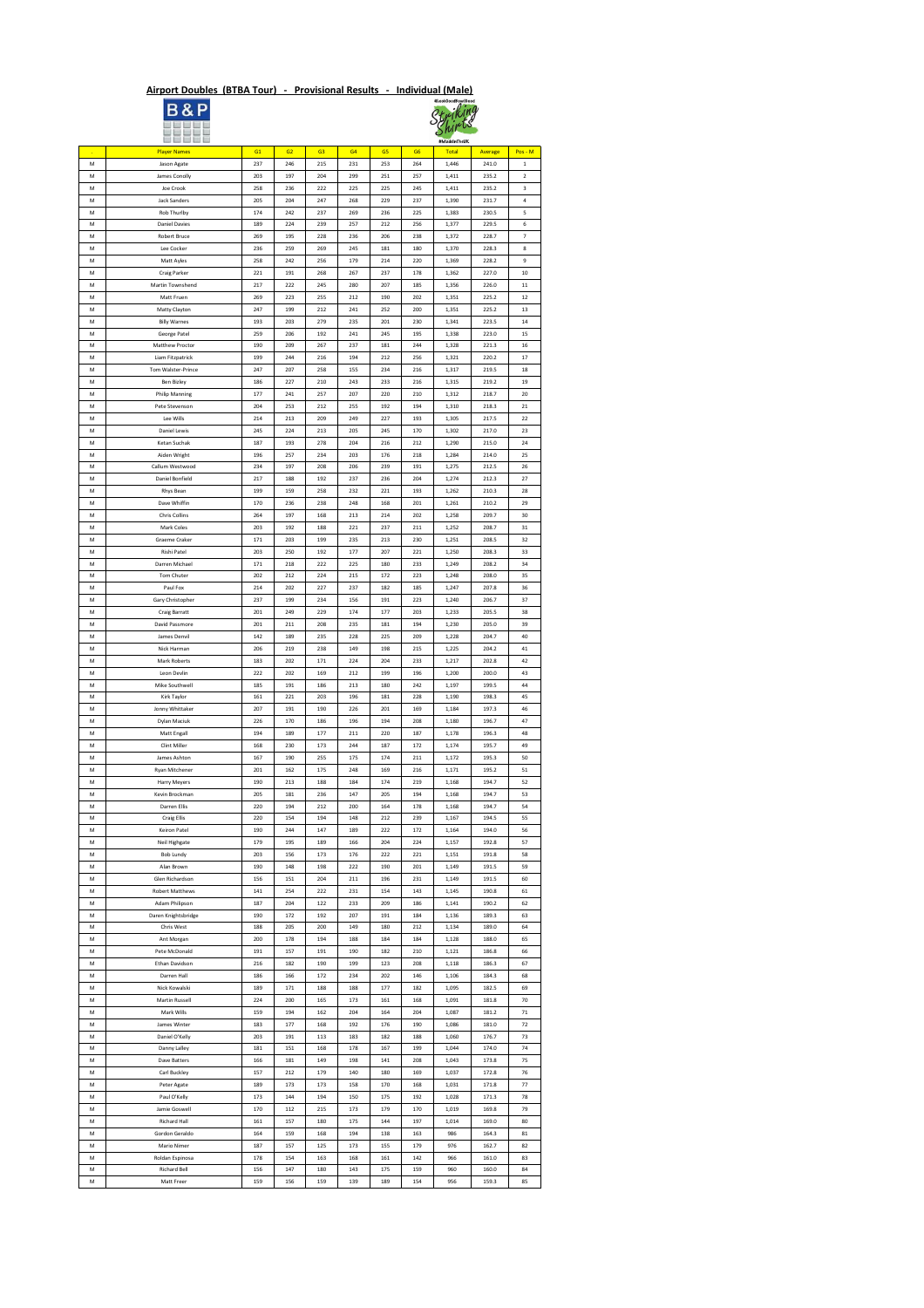# **Airport Doubles (BTBA Tour) - Provisional Results - Individual (Male)**<br> **B & P**<br> *Ctrifting*





|              | <b>DE DE DE</b>        |     |     |                |     |     |                | #MadeInTheUK |         |                |
|--------------|------------------------|-----|-----|----------------|-----|-----|----------------|--------------|---------|----------------|
| $\mathbf{r}$ | <b>Player Names</b>    | G1  | G2  | G <sub>3</sub> | G4  | G5  | G <sub>6</sub> | Total        | Average | $Pos - M$      |
| M            | Jason Agate            | 237 | 246 | 215            | 231 | 253 | 264            | 1,446        | 241.0   | $\mathbf{1}$   |
| M            | James Conolly          | 203 | 197 | 204            | 299 | 251 | 257            | 1,411        | 235.2   | $2^{\circ}$    |
| M            | Joe Crook              | 258 | 236 | 222            | 225 | 225 | 245            | 1,411        | 235.2   | $\overline{3}$ |
| M            | <b>Jack Sanders</b>    | 205 | 204 | 247            | 268 | 229 | 237            | 1,390        | 231.7   | 4              |
| M            | Rob Thurlby            | 174 | 242 | 237            | 269 | 236 | 225            | 1,383        | 230.5   | 5              |
| ${\sf M}$    | <b>Daniel Davies</b>   | 189 | 224 | 239            | 257 | 212 | 256            | 1,377        | 229.5   | 6              |
| ${\sf M}$    | Robert Bruce           | 269 | 195 | 228            | 236 | 206 | 238            | 1,372        | 228.7   | 7 <sup>7</sup> |
| M            | Lee Cocker             | 236 | 259 | 269            | 245 | 181 | 180            | 1,370        | 228.3   | 8              |
| M            | Matt Ayles             | 258 | 242 | 256            | 179 | 214 | 220            | 1,369        | 228.2   | 9              |
|              |                        |     |     |                |     |     |                |              |         |                |
| M            | Craig Parker           | 221 | 191 | 268            | 267 | 237 | 178            | 1,362        | 227.0   | $10\,$         |
| M            | Martin Townshend       | 217 | 222 | 245            | 280 | 207 | 185            | 1,356        | 226.0   | 11             |
| M            | Matt Fruen             | 269 | 223 | 255            | 212 | 190 | 202            | 1,351        | 225.2   | 12             |
| ${\sf M}$    | Matty Clayton          | 247 | 199 | 212            | 241 | 252 | 200            | 1,351        | 225.2   | 13             |
| ${\sf M}$    | <b>Billy Warnes</b>    | 193 | 203 | 279            | 235 | 201 | 230            | 1,341        | 223.5   | 14             |
| M            | George Patel           | 259 | 206 | 192            | 241 | 245 | 195            | 1,338        | 223.0   | 15             |
| M            | Matthew Proctor        | 190 | 209 | 267            | 237 | 181 | 244            | 1,328        | 221.3   | 16             |
| ${\sf M}$    | Liam Fitzpatrick       | 199 | 244 | 216            | 194 | 212 | 256            | 1,321        | 220.2   | 17             |
| M            | Tom Walster-Prince     | 247 | 207 | 258            | 155 | 234 | 216            | 1,317        | 219.5   | 18             |
| M            | Ben Bizley             | 186 | 227 | 210            | 243 | 233 | 216            | 1,315        | 219.2   | 19             |
| ${\sf M}$    | <b>Philip Manning</b>  | 177 | 241 | 257            | 207 | 220 | 210            | 1,312        | 218.7   | 20             |
| M            | Pete Stevenson         | 204 | 253 | 212            | 255 | 192 | 194            | 1,310        | 218.3   | 21             |
| M            | Lee Wills              | 214 | 213 | 209            | 249 | 227 | 193            | 1,305        | 217.5   | 22             |
| M            | Daniel Lewis           | 245 | 224 | 213            | 205 | 245 | 170            | 1,302        | 217.0   | 23             |
| M            | Ketan Suchak           | 187 | 193 | 278            | 204 | 216 | 212            | 1,290        | 215.0   | 24             |
| M            | Aiden Wright           | 196 | 257 | 234            | 203 | 176 | 218            | 1,284        | 214.0   | 25             |
|              | Callum Westwood        |     |     |                |     |     |                |              |         |                |
| M            |                        | 234 | 197 | 208            | 206 | 239 | 191            | 1,275        | 212.5   | 26             |
| M            | Daniel Bonfield        | 217 | 188 | 192            | 237 | 236 | 204            | 1,274        | 212.3   | 27             |
| M            | Rhys Bean              | 199 | 159 | 258            | 232 | 221 | 193            | 1,262        | 210.3   | 28             |
| M            | Dave Whiffin           | 170 | 236 | 238            | 248 | 168 | 201            | 1,261        | 210.2   | 29             |
| M            | Chris Collins          | 264 | 197 | 168            | 213 | 214 | 202            | 1,258        | 209.7   | 30             |
| M            | Mark Coles             | 203 | 192 | 188            | 221 | 237 | 211            | 1,252        | 208.7   | 31             |
| M            | Graeme Craker          | 171 | 203 | 199            | 235 | 213 | 230            | 1,251        | 208.5   | 32             |
| M            | Rishi Patel            | 203 | 250 | 192            | 177 | 207 | 221            | 1,250        | 208.3   | 33             |
| ${\sf M}$    | Darren Michael         | 171 | 218 | 222            | 225 | 180 | 233            | 1,249        | 208.2   | 34             |
| M            | Tom Chuter             | 202 | 212 | 224            | 215 | 172 | 223            | 1,248        | 208.0   | 35             |
| M            | Paul Fox               | 214 | 202 | 227            | 237 | 182 | 185            | 1,247        | 207.8   | 36             |
| M            | Gary Christopher       | 237 | 199 | 234            | 156 | 191 | 223            | 1,240        | 206.7   | 37             |
| M            | Craig Barratt          | 201 | 249 | 229            | 174 | 177 | 203            | 1,233        | 205.5   | 38             |
|              | David Passmore         | 201 | 211 | 208            |     | 181 | 194            |              | 205.0   | 39             |
| M            |                        |     |     |                | 235 |     |                | 1,230        |         |                |
| M            | James Denvil           | 142 | 189 | 235            | 228 | 225 | 209            | 1,228        | 204.7   | 40             |
| M            | Nick Harman            | 206 | 219 | 238            | 149 | 198 | 215            | 1,225        | 204.2   | 41             |
| M            | Mark Roberts           | 183 | 202 | 171            | 224 | 204 | 233            | 1,217        | 202.8   | 42             |
| M            | Leon Devlin            | 222 | 202 | 169            | 212 | 199 | 196            | 1,200        | 200.0   | 43             |
| M            | Mike Southwell         | 185 | 191 | 186            | 213 | 180 | 242            | 1,197        | 199.5   | 44             |
| M            | Kirk Taylor            | 161 | 221 | 203            | 196 | 181 | 228            | 1,190        | 198.3   | 45             |
| M            | Jonny Whittaker        | 207 | 191 | 190            | 226 | 201 | 169            | 1,184        | 197.3   | 46             |
| M            | Dylan Maciuk           | 226 | 170 | 186            | 196 | 194 | 208            | 1,180        | 196.7   | 47             |
| M            | Matt Engall            | 194 | 189 | 177            | 211 | 220 | 187            | 1,178        | 196.3   | 48             |
| M            | Clint Miller           | 168 | 230 | 173            | 244 | 187 | 172            | 1,174        | 195.7   | 49             |
| M            | James Ashton           | 167 | 190 | 255            | 175 | 174 | 211            | 1,172        | 195.3   | 50             |
| M            | Ryan Mitchener         | 201 | 162 | 175            | 248 | 169 | 216            | 1,171        | 195.2   | 51             |
| M            | Harry Meyers           | 190 | 213 | 188            | 184 | 174 | 219            | 1,168        | 194.7   | 52             |
| M            | Kevin Brockman         | 205 | 181 | 236            | 147 | 205 | 194            | 1,168        | 194.7   | 53             |
| M            | Darren Ellis           | 220 | 194 | 212            | 200 | 164 | 178            | 1,168        | 194.7   | 54             |
| M            | <b>Craig Ellis</b>     | 220 | 154 | 194            | 148 | 212 | 239            | 1,167        | 194.5   | 55             |
|              |                        |     |     |                |     |     |                |              |         |                |
| M            | Keiron Patel           | 190 | 244 | 147            | 189 | 222 | 172            | 1,164        | 194.0   | 56             |
| M            | Neil Highgate          | 179 | 195 | 189            | 166 | 204 | 224            | 1,157        | 192.8   | 57             |
| M            | Bob Lundy              | 203 | 156 | 173            | 176 | 222 | 221            | 1,151        | 191.8   | 58             |
| M            | Alan Brown             | 190 | 148 | 198            | 222 | 190 | 201            | 1,149        | 191.5   | 59             |
| ${\sf M}$    | Glen Richardson        | 156 | 151 | 204            | 211 | 196 | 231            | 1,149        | 191.5   | 60             |
| M            | <b>Robert Matthews</b> | 141 | 254 | 222            | 231 | 154 | 143            | 1,145        | 190.8   | 61             |
| M            | Adam Philipson         | 187 | 204 | 122            | 233 | 209 | 186            | 1,141        | 190.2   | 62             |
| M            | Daren Knightsbridge    | 190 | 172 | 192            | 207 | 191 | 184            | 1,136        | 189.3   | 63             |
| M            | Chris West             | 188 | 205 | 200            | 149 | 180 | 212            | 1,134        | 189.0   | 64             |
| M            | Ant Morgan             | 200 | 178 | 194            | 188 | 184 | 184            | 1,128        | 188.0   | 65             |
| M            | Pete McDonald          | 191 | 157 | 191            | 190 | 182 | 210            | 1,121        | 186.8   | 66             |
| M            | Ethan Davidson         | 216 | 182 | 190            | 199 | 123 | 208            | 1,118        | 186.3   | 67             |
| M            | Darren Hall            | 186 | 166 | 172            | 234 | 202 | 146            | 1,106        | 184.3   | 68             |
| M            | Nick Kowalski          | 189 | 171 | 188            | 188 | 177 | 182            | 1,095        | 182.5   | 69             |
| M            | Martin Russell         | 224 | 200 | 165            | 173 | 161 | 168            | 1,091        | 181.8   | 70             |
| M            | Mark Wills             | 159 | 194 | 162            | 204 | 164 | 204            | 1,087        | 181.2   | 71             |
| M            | James Winter           | 183 | 177 | 168            | 192 | 176 | 190            | 1,086        | 181.0   | 72             |
|              |                        |     |     |                |     |     |                |              |         |                |
| M            | Daniel O'Kelly         | 203 | 191 | 113            | 183 | 182 | 188            | 1,060        | 176.7   | 73             |
| M            | Danny Lalley           | 181 | 151 | 168            | 178 | 167 | 199            | 1,044        | 174.0   | 74             |
| M            | Dave Batters           | 166 | 181 | 149            | 198 | 141 | 208            | 1,043        | 173.8   | 75             |
| M            | Carl Buckley           | 157 | 212 | 179            | 140 | 180 | 169            | 1,037        | 172.8   | 76             |
| M            | Peter Agate            | 189 | 173 | 173            | 158 | 170 | 168            | 1,031        | 171.8   | 77             |
| M            | Paul O'Kelly           | 173 | 144 | 194            | 150 | 175 | 192            | 1,028        | 171.3   | 78             |
| M            | Jamie Goswell          | 170 | 112 | 215            | 173 | 179 | 170            | 1,019        | 169.8   | 79             |
| M            | <b>Richard Hall</b>    | 161 | 157 | 180            | 175 | 144 | 197            | 1,014        | 169.0   | 80             |
| M            | Gordon Geraldo         | 164 | 159 | 168            | 194 | 138 | 163            | 986          | 164.3   | 81             |
| M            | <b>Mario Nimer</b>     | 187 | 157 | 125            | 173 | 155 | 179            | 976          | 162.7   | 82             |
| M            | Roldan Espinosa        | 178 | 154 | 163            | 168 | 161 | 142            | 966          | 161.0   | 83             |
| M            | <b>Richard Bell</b>    | 156 | 147 | 180            | 143 | 175 | 159            | 960          | 160.0   | 84             |
|              |                        |     |     |                |     |     |                |              |         |                |
| M            | Matt Freer             | 159 | 156 | 159            | 139 | 189 | 154            | 956          | 159.3   | 85             |